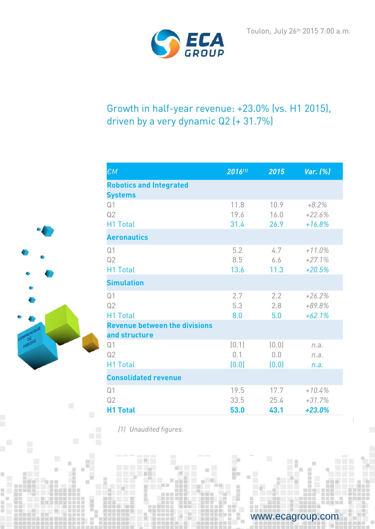

# Growth in half-year revenue: +23.0% (vs. H1 2015), driven by a very dynamic Q2 (+ 31.7%)

| $\epsilon$ M                                          | 2016(1)               | 2015                  | Var. (%)                          |
|-------------------------------------------------------|-----------------------|-----------------------|-----------------------------------|
| <b>Robotics and Integrated</b><br><b>Systems</b>      |                       |                       |                                   |
| Q <sub>1</sub><br>Q2<br>H1 Total                      | 11.8<br>19.6<br>31.4  | 10.9<br>16.0<br>26.9  | $+8.2%$<br>$+22.6%$<br>$+16.8%$   |
| <b>Aeronautics</b>                                    |                       |                       |                                   |
| Q <sub>1</sub><br>Q2<br><b>H1 Total</b>               | 5.2<br>8.5<br>13.6    | 4.7<br>6.6<br>11.3    | $+11.0\%$<br>$+27.1%$<br>$+20.5%$ |
| <b>Simulation</b>                                     |                       |                       |                                   |
| Q <sub>1</sub><br>Q2<br>H1 Total                      | 2.7<br>5.3<br>8.0     | 2.2<br>2.8<br>5.0     | $+26.2%$<br>+89.8%<br>$+62.1%$    |
| <b>Revenue between the divisions</b><br>and structure |                       |                       |                                   |
| Q <sub>1</sub><br>Q2<br><b>H1 Total</b>               | (0.1)<br>0.1<br>(0.0) | (0.0)<br>0,0<br>(0.0) | n.a.<br>n.a.<br>n.a.              |
| <b>Consolidated revenue</b>                           |                       |                       |                                   |
| Q <sub>1</sub><br>Q2<br><b>H1 Total</b>               | 19.5<br>33.5<br>53.0  | 17.7<br>25.4<br>43.1  | $+10.4%$<br>$+31.7%$<br>$+23.0%$  |

*(1) Unaudited figures.*



www.ecagroup.com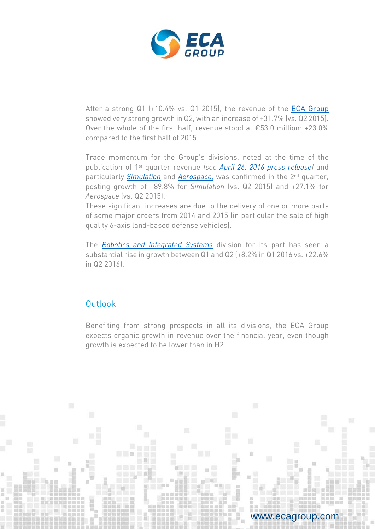

After a strong Q1 (+10.4% vs. Q1 2015), the revenue of the [ECA Group](http://www.ecagroup.com/) showed very strong growth in Q2, with an increase of +31.7% (vs. Q2 2015). Over the whole of the first half, revenue stood at €53.0 million: +23.0% compared to the first half of 2015.

Trade momentum for the Group's divisions, noted at the time of the publication of 1st quarter revenue *(see [April 26, 2016 press release\)](http://www.ecagroup.com/en/financial/revenue-growth-q1-across-all-divisions)* and particularly *[Simulation](http://www.ecagroup.com/en/training-simulation)* and *[Aerospace,](http://www.ecagroup.com/en/aerospace)* was confirmed in the 2nd quarter, posting growth of +89.8% for *Simulation* (vs. Q2 2015) and +27.1% for *Aerospace* (vs. Q2 2015).

These significant increases are due to the delivery of one or more parts of some major orders from 2014 and 2015 (in particular the sale of high quality 6-axis land-based defense vehicles).

The *Robotics and Integrated Systems* division for its part has seen a substantial rise in growth between Q1 and Q2 (+8.2% in Q1 2016 vs. +22.6% in Q2 2016).

## **Outlook**

Benefiting from strong prospects in all its divisions, the ECA Group expects organic growth in revenue over the financial year, even though growth is expected to be lower than in H2.

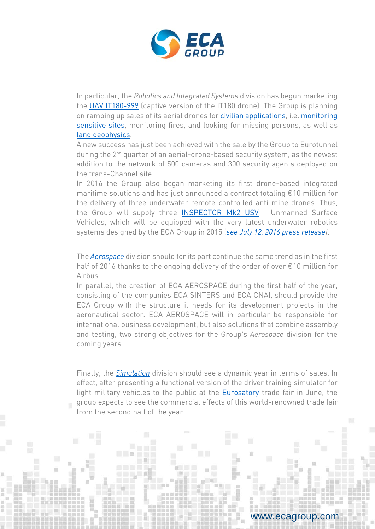

In particular, the *Robotics and Integrated Systems* division has begun marketing the [UAV IT180-999](http://www.ecagroup.com/en/solutions/uav-it180-999-unmanned-aerial-vehicle) (captive version of the IT180 drone). The Group is planning on ramping up sales of its aerial drones for [civilian applications,](http://www.ecagroup.com/en/solutions/mini-uav-civil-protection) i.e. [monitoring](http://www.ecagroup.com/en/solutions/mini-uav-surveillance)  [sensitive sites,](http://www.ecagroup.com/en/solutions/mini-uav-surveillance) monitoring fires, and looking for missing persons, as well as [land geophysics.](http://www.ecagroup.com/en/solutions/geophysics-mini-uav)

A new success has just been achieved with the sale by the Group to Eurotunnel during the 2<sup>nd</sup> quarter of an aerial-drone-based security system, as the newest addition to the network of 500 cameras and 300 security agents deployed on the trans-Channel site.

In 2016 the Group also began marketing its first drone-based integrated maritime solutions and has just announced a contract totaling €10 million for the delivery of three underwater remote-controlled anti-mine drones. Thus, the Group will supply three [INSPECTOR Mk2 USV](http://www.ecagroup.com/en/solutions/unmanned-surface-vehicle-inspector-mk2) - Unmanned Surface Vehicles, which will be equipped with the very latest underwater robotics systems designed by the ECA Group in 2015 (*see July 12, [2016 press release\)](http://www.ecagroup.com/en/financial/first-sale-towsca-seascan-within-contract-three-mine-countermeasures-unmanned-systems)*.

The *[Aerospace](http://www.ecagroup.com/en/aerospace)* division should for its part continue the same trend as in the first half of 2016 thanks to the ongoing delivery of the order of over €10 million for Airbus.

In parallel, the creation of ECA AEROSPACE during the first half of the year, consisting of the companies ECA SINTERS and ECA CNAI, should provide the ECA Group with the structure it needs for its development projects in the aeronautical sector. ECA AEROSPACE will in particular be responsible for international business development, but also solutions that combine assembly and testing, two strong objectives for the Group's *Aerospace* division for the coming years.

Finally, the *[Simulation](http://www.ecagroup.com/en/training-simulation)* division should see a dynamic year in terms of sales. In effect, after presenting a functional version of the driver training simulator for light military vehicles to the public at the [Eurosatory](http://www.ecagroup.com/en/eurosatory-2016) trade fair in June, the group expects to see the commercial effects of this world-renowned trade fair from the second half of the year.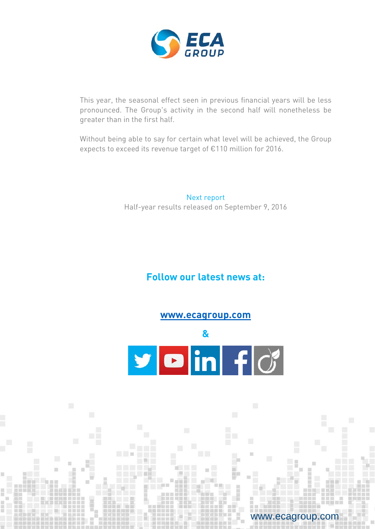

This year, the seasonal effect seen in previous financial years will be less pronounced. The Group's activity in the second half will nonetheless be greater than in the first half.

Without being able to say for certain what level will be achieved, the Group expects to exceed its revenue target of €110 million for 2016.

> Next report Half-year results released on September 9, 2016

# **Follow our latest news at:**